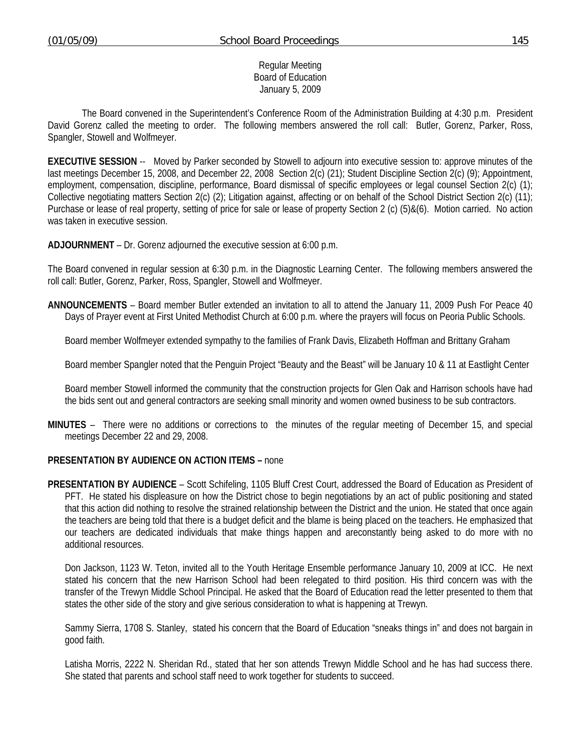#### Regular Meeting Board of Education January 5, 2009

 The Board convened in the Superintendent's Conference Room of the Administration Building at 4:30 p.m. President David Gorenz called the meeting to order. The following members answered the roll call: Butler, Gorenz, Parker, Ross, Spangler, Stowell and Wolfmeyer.

**EXECUTIVE SESSION** -- Moved by Parker seconded by Stowell to adjourn into executive session to: approve minutes of the last meetings December 15, 2008, and December 22, 2008 Section 2(c) (21); Student Discipline Section 2(c) (9); Appointment, employment, compensation, discipline, performance, Board dismissal of specific employees or legal counsel Section 2(c) (1); Collective negotiating matters Section 2(c) (2); Litigation against, affecting or on behalf of the School District Section 2(c) (11); Purchase or lease of real property, setting of price for sale or lease of property Section 2 (c) (5)&(6). Motion carried. No action was taken in executive session.

**ADJOURNMENT** – Dr. Gorenz adjourned the executive session at 6:00 p.m.

The Board convened in regular session at 6:30 p.m. in the Diagnostic Learning Center. The following members answered the roll call: Butler, Gorenz, Parker, Ross, Spangler, Stowell and Wolfmeyer.

**ANNOUNCEMENTS** – Board member Butler extended an invitation to all to attend the January 11, 2009 Push For Peace 40 Days of Prayer event at First United Methodist Church at 6:00 p.m. where the prayers will focus on Peoria Public Schools.

Board member Wolfmeyer extended sympathy to the families of Frank Davis, Elizabeth Hoffman and Brittany Graham

Board member Spangler noted that the Penguin Project "Beauty and the Beast" will be January 10 & 11 at Eastlight Center

 Board member Stowell informed the community that the construction projects for Glen Oak and Harrison schools have had the bids sent out and general contractors are seeking small minority and women owned business to be sub contractors.

**MINUTES** – There were no additions or corrections to the minutes of the regular meeting of December 15, and special meetings December 22 and 29, 2008.

### **PRESENTATION BY AUDIENCE ON ACTION ITEMS –** none

**PRESENTATION BY AUDIENCE** – Scott Schifeling, 1105 Bluff Crest Court, addressed the Board of Education as President of PFT. He stated his displeasure on how the District chose to begin negotiations by an act of public positioning and stated that this action did nothing to resolve the strained relationship between the District and the union. He stated that once again the teachers are being told that there is a budget deficit and the blame is being placed on the teachers. He emphasized that our teachers are dedicated individuals that make things happen and areconstantly being asked to do more with no additional resources.

 Don Jackson, 1123 W. Teton, invited all to the Youth Heritage Ensemble performance January 10, 2009 at ICC. He next stated his concern that the new Harrison School had been relegated to third position. His third concern was with the transfer of the Trewyn Middle School Principal. He asked that the Board of Education read the letter presented to them that states the other side of the story and give serious consideration to what is happening at Trewyn.

 Sammy Sierra, 1708 S. Stanley, stated his concern that the Board of Education "sneaks things in" and does not bargain in good faith.

 Latisha Morris, 2222 N. Sheridan Rd., stated that her son attends Trewyn Middle School and he has had success there. She stated that parents and school staff need to work together for students to succeed.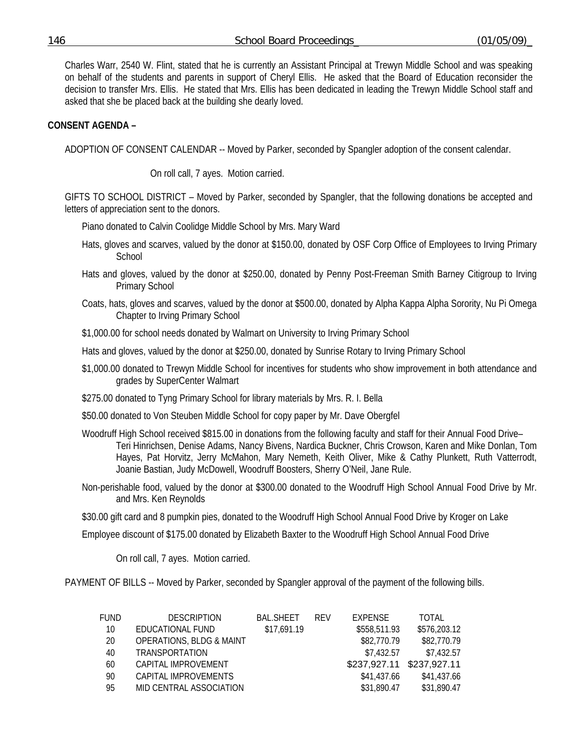Charles Warr, 2540 W. Flint, stated that he is currently an Assistant Principal at Trewyn Middle School and was speaking on behalf of the students and parents in support of Cheryl Ellis. He asked that the Board of Education reconsider the decision to transfer Mrs. Ellis. He stated that Mrs. Ellis has been dedicated in leading the Trewyn Middle School staff and asked that she be placed back at the building she dearly loved.

# **CONSENT AGENDA –**

ADOPTION OF CONSENT CALENDAR -- Moved by Parker, seconded by Spangler adoption of the consent calendar.

On roll call, 7 ayes. Motion carried.

GIFTS TO SCHOOL DISTRICT – Moved by Parker, seconded by Spangler, that the following donations be accepted and letters of appreciation sent to the donors.

Piano donated to Calvin Coolidge Middle School by Mrs. Mary Ward

- Hats, gloves and scarves, valued by the donor at \$150.00, donated by OSF Corp Office of Employees to Irving Primary School
- Hats and gloves, valued by the donor at \$250.00, donated by Penny Post-Freeman Smith Barney Citigroup to Irving Primary School
- Coats, hats, gloves and scarves, valued by the donor at \$500.00, donated by Alpha Kappa Alpha Sorority, Nu Pi Omega Chapter to Irving Primary School
- \$1,000.00 for school needs donated by Walmart on University to Irving Primary School

Hats and gloves, valued by the donor at \$250.00, donated by Sunrise Rotary to Irving Primary School

- \$1,000.00 donated to Trewyn Middle School for incentives for students who show improvement in both attendance and grades by SuperCenter Walmart
- \$275.00 donated to Tyng Primary School for library materials by Mrs. R. I. Bella

\$50.00 donated to Von Steuben Middle School for copy paper by Mr. Dave Obergfel

Woodruff High School received \$815.00 in donations from the following faculty and staff for their Annual Food Drive– Teri Hinrichsen, Denise Adams, Nancy Bivens, Nardica Buckner, Chris Crowson, Karen and Mike Donlan, Tom Hayes, Pat Horvitz, Jerry McMahon, Mary Nemeth, Keith Oliver, Mike & Cathy Plunkett, Ruth Vatterrodt, Joanie Bastian, Judy McDowell, Woodruff Boosters, Sherry O'Neil, Jane Rule.

- Non-perishable food, valued by the donor at \$300.00 donated to the Woodruff High School Annual Food Drive by Mr. and Mrs. Ken Reynolds
- \$30.00 gift card and 8 pumpkin pies, donated to the Woodruff High School Annual Food Drive by Kroger on Lake

Employee discount of \$175.00 donated by Elizabeth Baxter to the Woodruff High School Annual Food Drive

On roll call, 7 ayes. Motion carried.

PAYMENT OF BILLS -- Moved by Parker, seconded by Spangler approval of the payment of the following bills.

| FUND | <b>DESCRIPTION</b>                  | <b>BAL.SHEET</b> | <b>RFV</b> | EXPENSE      | TOTAL        |
|------|-------------------------------------|------------------|------------|--------------|--------------|
| 10   | EDUCATIONAL FUND                    | \$17,691.19      |            | \$558,511.93 | \$576,203.12 |
| 20   | <b>OPERATIONS, BLDG &amp; MAINT</b> |                  |            | \$82,770.79  | \$82,770.79  |
| 40   | <b>TRANSPORTATION</b>               |                  |            | \$7,432.57   | \$7,432.57   |
| 60   | CAPITAL IMPROVEMENT                 |                  |            | \$237,927.11 | \$237,927.11 |
| 90   | CAPITAL IMPROVEMENTS                |                  |            | \$41,437.66  | \$41,437.66  |
| 95   | MID CENTRAL ASSOCIATION             |                  |            | \$31,890.47  | \$31,890.47  |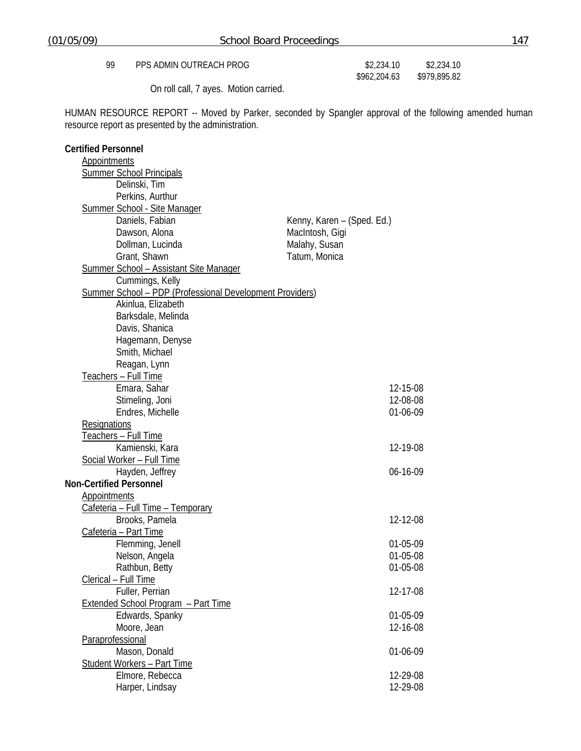99 PPS ADMIN OUTREACH

| H PROG | \$2,234.10   | \$2,234.10   |
|--------|--------------|--------------|
|        | \$962,204.63 | \$979,895.82 |

On roll call, 7 ayes. Motion carried.

HUMAN RESOURCE REPORT -- Moved by Parker, seconded by Spangler approval of the following amended human resource report as presented by the administration.

| <b>Certified Personnel</b>                                      |                            |
|-----------------------------------------------------------------|----------------------------|
| <b>Appointments</b>                                             |                            |
| <b>Summer School Principals</b>                                 |                            |
| Delinski, Tim                                                   |                            |
| Perkins, Aurthur                                                |                            |
| <b>Summer School - Site Manager</b>                             |                            |
| Daniels, Fabian                                                 | Kenny, Karen – (Sped. Ed.) |
| Dawson, Alona                                                   | MacIntosh, Gigi            |
| Dollman, Lucinda                                                | Malahy, Susan              |
| Grant, Shawn                                                    | Tatum, Monica              |
| <b>Summer School - Assistant Site Manager</b>                   |                            |
| Cummings, Kelly                                                 |                            |
| <b>Summer School - PDP (Professional Development Providers)</b> |                            |
| Akinlua, Elizabeth                                              |                            |
| Barksdale, Melinda                                              |                            |
| Davis, Shanica                                                  |                            |
| Hagemann, Denyse                                                |                            |
| Smith, Michael                                                  |                            |
| Reagan, Lynn                                                    |                            |
| Teachers - Full Time                                            |                            |
| Emara, Sahar                                                    | 12-15-08                   |
| Stimeling, Joni                                                 | 12-08-08                   |
| Endres, Michelle                                                | 01-06-09                   |
| Resignations                                                    |                            |
| Teachers - Full Time                                            |                            |
| Kamienski, Kara                                                 | 12-19-08                   |
| Social Worker - Full Time                                       |                            |
| Hayden, Jeffrey                                                 | 06-16-09                   |
| <b>Non-Certified Personnel</b>                                  |                            |
| <b>Appointments</b>                                             |                            |
| Cafeteria - Full Time - Temporary                               |                            |
| Brooks, Pamela                                                  | 12-12-08                   |
| Cafeteria - Part Time                                           |                            |
| Flemming, Jenell                                                | 01-05-09                   |
| Nelson, Angela                                                  | 01-05-08                   |
| Rathbun, Betty                                                  | 01-05-08                   |
| Clerical - Full Time                                            |                            |
| Fuller, Perrian                                                 | 12-17-08                   |
| Extended School Program - Part Time                             |                            |
| Edwards, Spanky                                                 | 01-05-09                   |
| Moore, Jean                                                     | 12-16-08                   |
| Paraprofessional                                                |                            |
| Mason, Donald                                                   | 01-06-09                   |
| <b>Student Workers - Part Time</b>                              |                            |
| Elmore, Rebecca                                                 | 12-29-08                   |
| Harper, Lindsay                                                 | 12-29-08                   |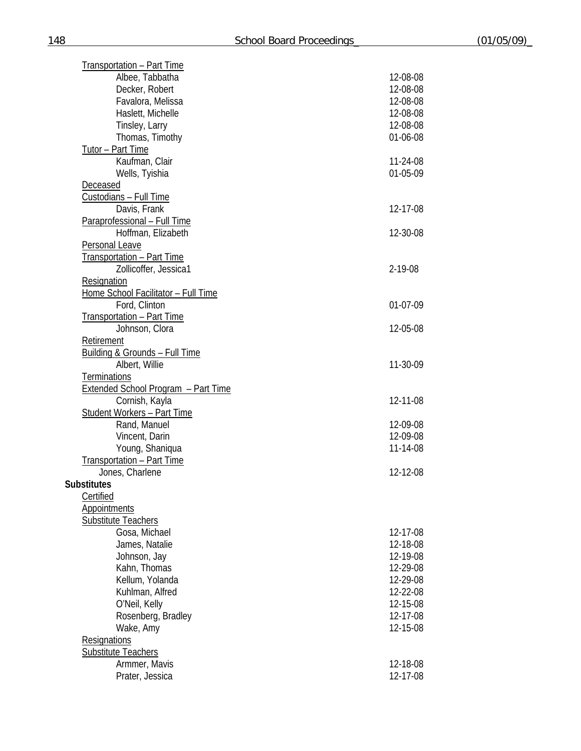| <b>Transportation - Part Time</b>          |          |
|--------------------------------------------|----------|
| Albee, Tabbatha                            | 12-08-08 |
| Decker, Robert                             | 12-08-08 |
| Favalora, Melissa                          | 12-08-08 |
| Haslett, Michelle                          | 12-08-08 |
| Tinsley, Larry                             | 12-08-08 |
| Thomas, Timothy                            | 01-06-08 |
| Tutor - Part Time                          |          |
| Kaufman, Clair                             |          |
|                                            | 11-24-08 |
| Wells, Tyishia                             | 01-05-09 |
| Deceased                                   |          |
| Custodians - Full Time                     |          |
| Davis, Frank                               | 12-17-08 |
| Paraprofessional - Full Time               |          |
| Hoffman, Elizabeth                         | 12-30-08 |
| Personal Leave                             |          |
| Transportation - Part Time                 |          |
| Zollicoffer, Jessica1                      | 2-19-08  |
| Resignation                                |          |
| Home School Facilitator - Full Time        |          |
| Ford, Clinton                              | 01-07-09 |
| Transportation - Part Time                 |          |
| Johnson, Clora                             | 12-05-08 |
| Retirement                                 |          |
| Building & Grounds - Full Time             |          |
| Albert, Willie                             | 11-30-09 |
| <b>Terminations</b>                        |          |
| <b>Extended School Program - Part Time</b> |          |
| Cornish, Kayla                             | 12-11-08 |
|                                            |          |
| <b>Student Workers - Part Time</b>         |          |
| Rand, Manuel                               | 12-09-08 |
| Vincent, Darin                             | 12-09-08 |
| Young, Shaniqua                            | 11-14-08 |
| Transportation - Part Time                 |          |
| Jones, Charlene                            | 12-12-08 |
| <b>Substitutes</b>                         |          |
| Certified                                  |          |
| <b>Appointments</b>                        |          |
| Substitute Teachers                        |          |
| Gosa, Michael                              | 12-17-08 |
| James, Natalie                             | 12-18-08 |
| Johnson, Jay                               | 12-19-08 |
| Kahn, Thomas                               | 12-29-08 |
| Kellum, Yolanda                            | 12-29-08 |
| Kuhlman, Alfred                            | 12-22-08 |
| O'Neil, Kelly                              | 12-15-08 |
| Rosenberg, Bradley                         | 12-17-08 |
| Wake, Amy                                  | 12-15-08 |
| Resignations                               |          |
| <b>Substitute Teachers</b>                 |          |
| Armmer, Mavis                              | 12-18-08 |
|                                            |          |
| Prater, Jessica                            | 12-17-08 |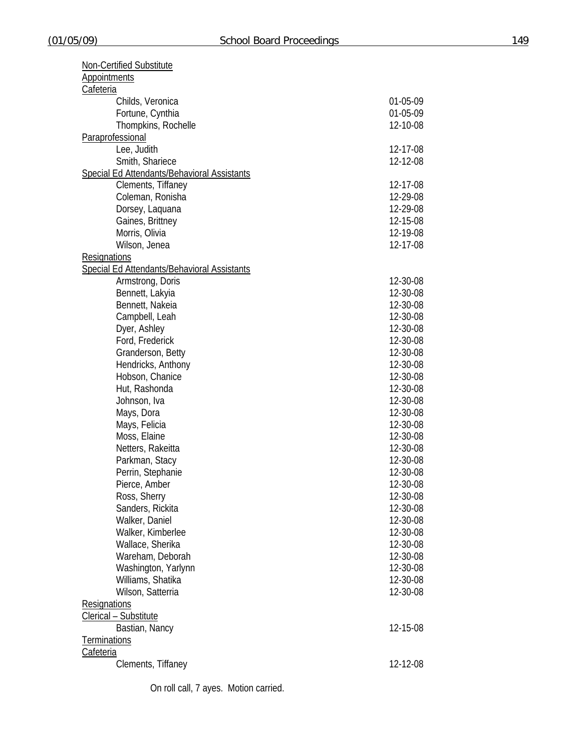| Non-Certified Substitute                    |          |
|---------------------------------------------|----------|
| <b>Appointments</b>                         |          |
| Cafeteria                                   |          |
| Childs, Veronica                            | 01-05-09 |
| Fortune, Cynthia                            | 01-05-09 |
| Thompkins, Rochelle                         | 12-10-08 |
| Paraprofessional                            |          |
| Lee, Judith                                 | 12-17-08 |
| Smith, Shariece                             | 12-12-08 |
| Special Ed Attendants/Behavioral Assistants |          |
| Clements, Tiffaney                          | 12-17-08 |
| Coleman, Ronisha                            | 12-29-08 |
|                                             |          |
| Dorsey, Laquana                             | 12-29-08 |
| Gaines, Brittney                            | 12-15-08 |
| Morris, Olivia                              | 12-19-08 |
| Wilson, Jenea                               | 12-17-08 |
| Resignations                                |          |
| Special Ed Attendants/Behavioral Assistants |          |
| Armstrong, Doris                            | 12-30-08 |
| Bennett, Lakyia                             | 12-30-08 |
| Bennett, Nakeia                             | 12-30-08 |
| Campbell, Leah                              | 12-30-08 |
| Dyer, Ashley                                | 12-30-08 |
| Ford, Frederick                             | 12-30-08 |
| Granderson, Betty                           | 12-30-08 |
| Hendricks, Anthony                          | 12-30-08 |
| Hobson, Chanice                             | 12-30-08 |
| Hut, Rashonda                               | 12-30-08 |
| Johnson, Iva                                | 12-30-08 |
| Mays, Dora                                  | 12-30-08 |
| Mays, Felicia                               | 12-30-08 |
| Moss, Elaine                                | 12-30-08 |
| Netters, Rakeitta                           | 12-30-08 |
| Parkman, Stacy                              | 12-30-08 |
|                                             |          |
| Perrin, Stephanie                           | 12-30-08 |
| Pierce, Amber                               | 12-30-08 |
| Ross, Sherry                                | 12-30-08 |
| Sanders, Rickita                            | 12-30-08 |
| Walker, Daniel                              | 12-30-08 |
| Walker, Kimberlee                           | 12-30-08 |
| Wallace, Sherika                            | 12-30-08 |
| Wareham, Deborah                            | 12-30-08 |
| Washington, Yarlynn                         | 12-30-08 |
| Williams, Shatika                           | 12-30-08 |
| Wilson, Satterria                           | 12-30-08 |
| Resignations                                |          |
| Clerical - Substitute                       |          |
| Bastian, Nancy                              | 12-15-08 |
| <b>Terminations</b>                         |          |
| Cafeteria                                   |          |
| Clements, Tiffaney                          | 12-12-08 |
|                                             |          |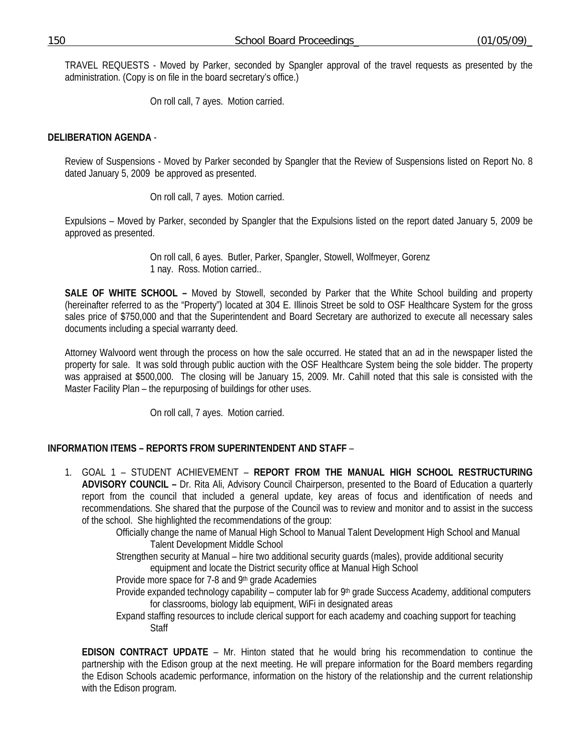TRAVEL REQUESTS - Moved by Parker, seconded by Spangler approval of the travel requests as presented by the administration. (Copy is on file in the board secretary's office.)

On roll call, 7 ayes. Motion carried.

## **DELIBERATION AGENDA** -

Review of Suspensions - Moved by Parker seconded by Spangler that the Review of Suspensions listed on Report No. 8 dated January 5, 2009 be approved as presented.

On roll call, 7 ayes. Motion carried.

Expulsions – Moved by Parker, seconded by Spangler that the Expulsions listed on the report dated January 5, 2009 be approved as presented.

> On roll call, 6 ayes. Butler, Parker, Spangler, Stowell, Wolfmeyer, Gorenz 1 nay. Ross. Motion carried..

**SALE OF WHITE SCHOOL –** Moved by Stowell, seconded by Parker that the White School building and property (hereinafter referred to as the "Property") located at 304 E. Illinois Street be sold to OSF Healthcare System for the gross sales price of \$750,000 and that the Superintendent and Board Secretary are authorized to execute all necessary sales documents including a special warranty deed.

Attorney Walvoord went through the process on how the sale occurred. He stated that an ad in the newspaper listed the property for sale. It was sold through public auction with the OSF Healthcare System being the sole bidder. The property was appraised at \$500,000. The closing will be January 15, 2009. Mr. Cahill noted that this sale is consisted with the Master Facility Plan – the repurposing of buildings for other uses.

On roll call, 7 ayes. Motion carried.

### **INFORMATION ITEMS – REPORTS FROM SUPERINTENDENT AND STAFF** –

1. GOAL 1 – STUDENT ACHIEVEMENT – **REPORT FROM THE MANUAL HIGH SCHOOL RESTRUCTURING ADVISORY COUNCIL –** Dr. Rita Ali, Advisory Council Chairperson, presented to the Board of Education a quarterly report from the council that included a general update, key areas of focus and identification of needs and recommendations. She shared that the purpose of the Council was to review and monitor and to assist in the success of the school. She highlighted the recommendations of the group:

Officially change the name of Manual High School to Manual Talent Development High School and Manual Talent Development Middle School

Strengthen security at Manual – hire two additional security guards (males), provide additional security equipment and locate the District security office at Manual High School

Provide more space for 7-8 and 9th grade Academies

Provide expanded technology capability – computer lab for 9<sup>th</sup> grade Success Academy, additional computers for classrooms, biology lab equipment, WiFi in designated areas

Expand staffing resources to include clerical support for each academy and coaching support for teaching **Staff** 

**EDISON CONTRACT UPDATE** – Mr. Hinton stated that he would bring his recommendation to continue the partnership with the Edison group at the next meeting. He will prepare information for the Board members regarding the Edison Schools academic performance, information on the history of the relationship and the current relationship with the Edison program.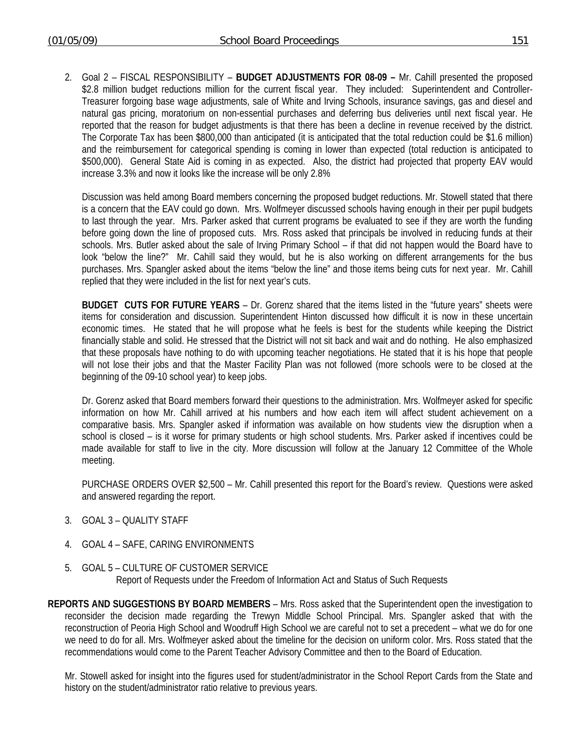2. Goal 2 – FISCAL RESPONSIBILITY – **BUDGET ADJUSTMENTS FOR 08-09 –** Mr. Cahill presented the proposed \$2.8 million budget reductions million for the current fiscal year. They included: Superintendent and Controller-Treasurer forgoing base wage adjustments, sale of White and Irving Schools, insurance savings, gas and diesel and natural gas pricing, moratorium on non-essential purchases and deferring bus deliveries until next fiscal year. He reported that the reason for budget adjustments is that there has been a decline in revenue received by the district. The Corporate Tax has been \$800,000 than anticipated (it is anticipated that the total reduction could be \$1.6 million) and the reimbursement for categorical spending is coming in lower than expected (total reduction is anticipated to \$500,000). General State Aid is coming in as expected. Also, the district had projected that property EAV would increase 3.3% and now it looks like the increase will be only 2.8%

Discussion was held among Board members concerning the proposed budget reductions. Mr. Stowell stated that there is a concern that the EAV could go down. Mrs. Wolfmeyer discussed schools having enough in their per pupil budgets to last through the year. Mrs. Parker asked that current programs be evaluated to see if they are worth the funding before going down the line of proposed cuts. Mrs. Ross asked that principals be involved in reducing funds at their schools. Mrs. Butler asked about the sale of Irving Primary School – if that did not happen would the Board have to look "below the line?" Mr. Cahill said they would, but he is also working on different arrangements for the bus purchases. Mrs. Spangler asked about the items "below the line" and those items being cuts for next year. Mr. Cahill replied that they were included in the list for next year's cuts.

**BUDGET CUTS FOR FUTURE YEARS** – Dr. Gorenz shared that the items listed in the "future years" sheets were items for consideration and discussion. Superintendent Hinton discussed how difficult it is now in these uncertain economic times. He stated that he will propose what he feels is best for the students while keeping the District financially stable and solid. He stressed that the District will not sit back and wait and do nothing. He also emphasized that these proposals have nothing to do with upcoming teacher negotiations. He stated that it is his hope that people will not lose their jobs and that the Master Facility Plan was not followed (more schools were to be closed at the beginning of the 09-10 school year) to keep jobs.

Dr. Gorenz asked that Board members forward their questions to the administration. Mrs. Wolfmeyer asked for specific information on how Mr. Cahill arrived at his numbers and how each item will affect student achievement on a comparative basis. Mrs. Spangler asked if information was available on how students view the disruption when a school is closed – is it worse for primary students or high school students. Mrs. Parker asked if incentives could be made available for staff to live in the city. More discussion will follow at the January 12 Committee of the Whole meeting.

 PURCHASE ORDERS OVER \$2,500 – Mr. Cahill presented this report for the Board's review. Questions were asked and answered regarding the report.

- 3. GOAL 3 QUALITY STAFF
- 4. GOAL 4 SAFE, CARING ENVIRONMENTS
- 5. GOAL 5 CULTURE OF CUSTOMER SERVICE Report of Requests under the Freedom of Information Act and Status of Such Requests
- **REPORTS AND SUGGESTIONS BY BOARD MEMBERS** Mrs. Ross asked that the Superintendent open the investigation to reconsider the decision made regarding the Trewyn Middle School Principal. Mrs. Spangler asked that with the reconstruction of Peoria High School and Woodruff High School we are careful not to set a precedent – what we do for one we need to do for all. Mrs. Wolfmeyer asked about the timeline for the decision on uniform color. Mrs. Ross stated that the recommendations would come to the Parent Teacher Advisory Committee and then to the Board of Education.

Mr. Stowell asked for insight into the figures used for student/administrator in the School Report Cards from the State and history on the student/administrator ratio relative to previous years.